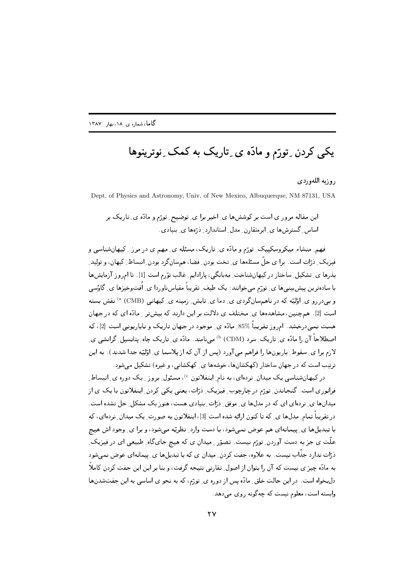## یکی کردن ِ تورّم و مادّه ی ِ تاریک به کمک ِ نوترینوها

روزبه اللهوردي

Dept. of Physics and Astronomy, Univ. of New Mexico, Albuquerque, NM 87131, USA

این مقاله مرور ی است بر کوششها ی ِ اخیر برا ی ِ توضیح ِ تورّم و مادّه ی ِ تاریک بر اساس گسترش ها ی ایرمتقارن مدل استاندارد درّهها ی بنیادی.

فهم ِ منشاء ِ میکروسکپیک ِ تورّم و مادّه ی ِ تاریک، مسئله ی ِ مهم ی در مرز ِ کیهانشناسی و فیزیک ِ دٰرّات است . برا ی حلّ مسئلهها ی ِ تخت بودن ِ فضا، همسانگرد بودن ِ انبساط ِ کیهان، و تولید ِ بذرها ی ِ تشکیل ِ ساختار در کیهانشناخت ِ مِهبانگی، پارادایم ِ غالبِ توّرم است [1] . تا امروز آزمایشها با سادهترین پیشبینیها ی ِ تورّم میخوانند: یک طیف ِ تقریباً مقیاسناوردا ی ِ اُفتوخیزها ی ِ گاؤسی و بیدررو ی ِ اوّلیّه که در ناهم سانگردی ی ِ دما ی ِ تابش ِ زمینه ی ِ کیهانی (CMB) ^ نقش بسته است [2] . همچنین، مشاهدهها ی ِ مختلف ی دلالت بر این دارند که بیشتر ِ مادّه ای که در جهان هست نمبی،درخشد. امروز تقریباً 85% مادّه ی ِ موجود در جهان تاریک و ناباریونی است [2]، که اصطلاحاً آن را مادّه ی ِ تاریک ِ سرد (CDM) ^ میںنامند. مادّه ی ِ تاریک چاه ِ پتانسیل ِ گرانشی ی ِ لازم برا ی ِ سقوط ِ باریونها را فراهم می آورد (پس از آن که از پلاسما ی ِ اوّلیّه جدا شدند). به این ترتیب است که در جهان ساختار (کهکشانها، خوشهها ی ِ کهکشانی، و غیره) تشکیل می شود.

در کیهانشناسی یک میدان ِ نردهای، به نام ِ اینفلاتون <sup>6</sup>، مسئول ِ بروز ِ یک دوره ی ِ انبساط ِ فرانوری است. گنجاندن ِ تورّم در چارچوب ِ فیزیک ِ دْرّات، یعنی یکی کردن ِ اینفلاتون با یک ی از میدانها ی ِ نردهای ای که در مدلها ی ِ موفق ِ درات ِ بنیادی هست، هنوزیک مشکل ِ حل نشده است. در تقریباً تمام ِ مدلها ی ِ که تا کنون ارائه شده است [3]، اینفلاتون به صورت ِ یک میدان ِ نردهای، که با تبدیلها ی ِ پیمانهای هم عوض نمیشود، با دست وارد ِ نظریّه میشود، و برا ی ِ وجود اش هیچ علّت ی جز به دست آوردن ِ تورّم نیست. تصوّر ِ میدان ی که هیچ جایگاه ِ طبیعی ای در فیزیک ِ ذرّات ندارد جذّاب نیست. به علاوه، جفت کردن ِ میدان ی که با تبدیلها ی ِ پیمانهای عوض نمی شود به مادّه چیز ی نیست که آن را بتوان از اصول ِ تقارنی نتیجه گرفت، و بنا بر این این جفت کردن کاملاً دلبخواه است. در این حالت خلق ِ مادّه پس از دوره ی ِ تورّم، که به نحو ی اساسی به این جفتشدنها وابسته است، معلوم نیست که چهگونه روی می دهد.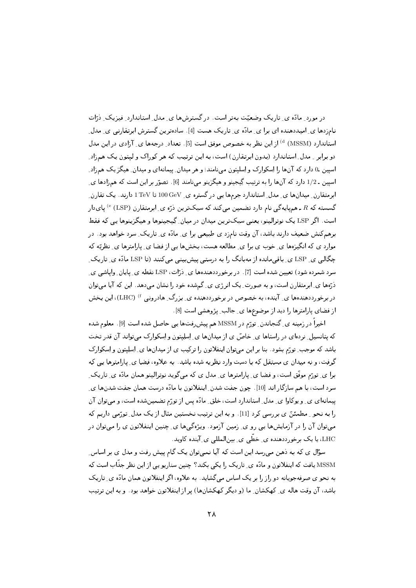در مورد ِ مادّه ی ِ تاریک وضعیّت بهتر است. در گسترشها ی ِ مدل ِ استاندارد ِ فیزیک ِ دْرّات نامزدها ی ِ امیددهنده ای برا ی ِ مادّه ی ِ تاریک هست [4]. سادهترین گسترش ابرتقارنی ی ِ مدل ِ استاندارد (MSSM) ») از این نظر به خصوص موفق است [5]. تعداد ِ درجهها ی ِ آزادی در این مدل دو برابر \_ مدل ِ استاندارد (بدون ابرتقارن) است، به این ترتیب که هر کوراک و لیتون یک همزاد ِ اسپین ـ0 دارد که آنها را اِسکوارک و اِسلیتون می،نامند؛ و هر میدان ِ پیمانهای و میدان ِ هیگز یک همزاد ِ اسیبن ـ 1/2 دارد که آنها را به ترتیب گِیجینو و هیگزینو میِنامند [6] . تصوّر بر این است که همزادها ی ِ ابرمتقارن ِ میدانِها ی ِ مدل ِ استاندارد جرمها یی در گستره ی ِ I TeV تا TeV دارند. یک تقارن ِ گسسته که  $R$  ـ همهایهگی نام دارد تضمین می $کند که سبکترین دُرّه ی ِ ابرمتقارن  $\mathrm{(LSP)}$  <sup>e</sup> بایدار  $R$$ است. اگر LSP یک نوترالینو، یعنبی سبکترین میدان در میان ِ گِیجینوها و هیگزینوها یے, که فقط برهمکنش ضعیف دارند باشد، آن وقت نامزد ی طبیعی برا ی ِ مادّه ی ِ تاریک ِ سرد خواهد بود. در موارد ی که انگیزهها ی ِ خوب ی برا ی ِ مطالعه هست، بخشها یی از فضا ی ِ پارامترها ی ِ نظریّه که چگالی ی ِ LSP ی ِ باقی مانده از مەبانگ را بە درستی پیش بینی می کنند (تا LSP مادّه ی ِ تاریک ِ سرد شمرده شود) تعیین شده است [7] . در برخورددهندهها ی ِ دْرّات، LSP نقطه ی ِ پایان ِ وایاشی ی ِ ذرّهها ی ِ ابرمتقارن است، و به صورت ِ یک انرژی ی ِ گمشده خود را نشان میدهد. این که آیا میتوان در برخورددهندهها ی ِ آینده، به خصوص در برخورددهنده ی ِ بزرگ ِ هادرونی <sup>f)</sup> (LHC)، این بخش از فضای پارامترها را دید از موضوعها ی ِ جالب ِ پژوهشی است [8].

اخیراً در زمینه ی ِ گنجاندن ِ تورّم در MSSM هم پیش ِرفتها یی حاصل شده است [9] . معلوم شده که پتانسیل ِ نردهای در راستاها ی ِ خاصّ ی از میدانها ی ِ اِسِلِیتون و اِسکوارک میتواند آن قدر تخت باشد که موجب ِ تورّم بشود. بنا بر این میتوان اینفلاتون را ترکیب ی از میدانها ی ِ اِسلِیتون و اِسکوارک گرفت، و نه میدان ی مستقل که با دست وارد نظریه شده باشد. به علاوه، فضا ی ِ پارامترها یی که برا ی ِ تورّم موفّق است، و فضا ی ِ پارامترها ی ِ مدل ی که می گوید نوترالینو همان مادّه ی ِ تاریک ِ سرد است، با هم سازگار اند [10] . چون جفت شدن ِ اینفلاتون با مادّه درست همان جفت شدنها ی ِ پیمانهای ی ِ و یوکاوا ی ِ مدل ِ استاندارد است، خلق ِ مادّه پس از تورّم تضمینشده است، و می توان آن را به نحو ِ مطمئنّ ی بررسی کرد [11]. و به این ترتیب نخستین مثال از یک مدل ِ تورّمی داریم که میتوان آن را در آزمایشها یی رو ی ِ زمین آزمود. ویژهگیها ی ِ چنین اینفلاتون ی را میتوان در LHC، یا یک برخورددهنده ی ِ خطّی ی ِ بینالمللی ی ِ آینده کاوید.

سؤال ی که به ذهن می رسد این است که آیا نمی توان یک گام پیش رفت و مدل ی بر اساس ِ MSSM یافت که اینفلاتون و مادّه ی ِ تاریک را یکی بکند؟ چنین سناریو یی از این نظر جذّاب است که به نحوی صرفهجویانه دو راز را بر یک اساس میگشاید. به علاوه، اگر اینفلاتون همان مادّه ی ِ تاریک باشد، آن وقت هاله ي ِ كهكشان ِ ما (و ديگر كهكشانها) پر از اينفلاتون خواهد بود. و به اين ترتيب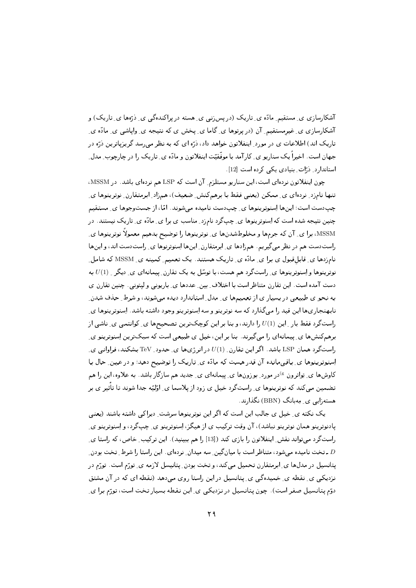آشکارسازی ی ِ مستقیم ِ مادّه ی ِ تاریک (در پس زنی ی ِ هسته در پراکندهگی ی ِ دْرّهها ی ِ تاریک) و آشکارسازی ی ِ غیرمستقیم ِ آن (در پرتوها ی ِ گاما ی ِ پخش ی که نتیجه ی ِ وایاشی ی ِ مادّه ی ِ تاریک اند) اطلاعات ی در مورد ِ اینفلاتون خواهد داد، درّه ای که به نظر می رسد گریزیاترین درّه در جهان است. اخیراً یک سناریو ی ِ کارآمد با موفّقیّت اینفلاتون و مادّه ی ِ تاریک را در چارچوب ِ مدل ِ استاندارد و ذرّات بنیادی یکی کرده است [12].

چون اینفلاتون نردهای است، این سناریو مستلزم ِ آن است که LSP هم نردهای باشد. در MSSM، تنها نامزد ِ نردهای ی ِ ممکن (یعنی فقط با برهمکنش ِ ضعیف)، همزاد ِ ابرمتقارن ِ نوترینوها ی ِ چیبدست است؛ این ها اِسنوتر پنوها ی ِ چیبدست نامیده مے شوند. امّا، از جستوجوها ی ِ مستقیم چنین نتیجه شده است که اِسنوترینوها ی ِ چپگرد نامزد ِ مناسب ی برا ی ِ مادّه ی ِ تاریک نیستند. در MSSM، برا ی ِ آن که جرمها و مخلوطشدنها ی ِ نوترینوها را توضیح بدهیم معمولاً نوترینوها ی ِ راستدست هم در نظر میگیریم. همزادها ی ِ ابرمتقارن ِ اینها اِسنوترنوها ی ِ راستدست اند، و اینها نامزدها ی ِ قابلقبول ی برا ی ِ مادّه ی ِ تاریک هستند. یک تعمیم ِ کمینه ی ِ MSSM که شامل ِ نوترینوها و اِسنوترینوها ی ِ راستگرد هم هست، با توسّل به یک تقارن ِ پیمانهای ی ِ دیگر ِ  $U(1)$  به دست آمده است. این تقارن متناظر است با اختلاف بین ِ عددها ی ِ باریونی و لیتونی. چنین تقارن ی به نحو ی طبیعی در بسیار ی از تعمیمها ی ِ مدل ِ استاندارد دیده میشوند، و شرط ِ حذف شدن ِ نابهنجاريها اين قيد را ميگذارد كه سه نوترينو و سه اِسنوترينو وجود داشته باشد. اِسنوترينوها يِ راستگرد فقط بار ِ این  $U(1)$  را دارند، و بنا بر این کوچکترین تصحیحها ی ِ کوانتمی ی ِ ناشی از برهمکنشها ی ِ پیمانهای را میگیرند. بنا بر این، خیل ی طبیعی است که سبکترین اِسنوترینو ی راستگرد همان LSP باشد. اگر این تقارن ِ (1) در انرژیها ی ِ حدود ِ TeV بشکند، فراوانی ی ِ اِسنوترینوها ی ِ باقی مانده آن قدر هست که مادّه ی ِ تاریک را توضیح دهد؛ و در عین ِ حال با کاوشها ی ِ تِواترون <sup>&</sup>در مورد ِ بوزونها ی ِ پیمانهای ی ِ جدید هم سازگار باشد. به علاوه، این را هم تضمین میکند که نوترینوها ی ِ راستگرد خیل ی زود از پلاسما ی ِ اوّلیّه جدا شوند تا تأثیر ی بر هستهزایی ی مهبانگ (BBN) نگذارند.

یک نکته ی ِ خیل ی جالب این است که اگر این نوترینوها سرشت ِ دیراکی داشته باشند (یعنی پادنوترینو همان نوترینو نباشد)، آن وقت ترکیب ی از هیگز، اِسنوترینو ی ِ چپگرد، و اِسنوترینو ی ِ راستگرد می تواند نقش ِ اینفلاتون را بازی کند ([13] را هم ببینید). این ترکیب ِ خاص، که راستا ی ِ ۔ تخت نامیدہ میشود، متناظر است با میانگین ِ سه میدان ِ نردهای . این راستا را شرط ِ تخت بودن ِ ۔ يتانسيل در مدلها ي ِ ابرمتقارن تحميل مي كند، و تخت بودن ِ يتانيسل لازمه ي ِ تورّم است. تورّم در نزدیکی ی ِ نقطه ی ِ خمیدهگی ی ِ پتانسیل در این راستا روی میدهد (نقطه ای که در آن مشتق دوّم پتانسیل صفر است). چون پتانسیل در نزدیکی ی ِ این نقطه بسیار تخت است، تورّم برا ی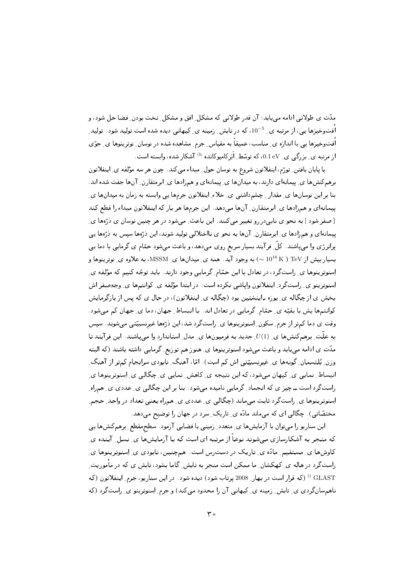مدّت ی طولانی ادامه می یابد؛ آن قدر طولانی که مشکل ِ افق و مشکل ِ تخت بودن ِ فضا حل شود، و اُفتوخیزها یی، از مرتبه ی ِ 5-10، که در تابش ِ زمینه ی ِ کیهانی دیده شده است تولید شود. تولید ِ اُفتوخیزها یی با اندازه ی ِ مناسب، عمیقاً به مقیاس ِ جرم ِ مشاهده شده در نوسان ِ نوترینوها ی ِ جوّی از مرتبه ی ِ بزرگی ی ِ 0.1 eV، که توسّط ِ اَبَرِکامپوکانده <sup>h)</sup> آشکار شده، وابسته است.

با پایان یافتن ِ تورّم، اینفلاتون شروع به نوسان حول ِ مبداء می کند. چون هر سه مؤلفه ی ِ اینفلاتون برهمکنشها ی ِ پیمانهای دارند، به میدانها ی ِ پیمانهای و همزادها ی ِ ابرمتقارن ِ آنها جفت شده اند. بنا بر این نوسانها ی ِ مقدار ِ چشم‹اشتبی ی ِ خلاءِ اینفلاتون جرمها یی وابسته به زمان به میدانها ی ِ بییماندای و همزادها ی ِ ابرمتقارن ِ آنها می دهد. این جرمها هر بار که اینفلاتون مبداء را قطع کند [صفر شود ] به نحو ي نابې دررو تغيير مي كنند. اين باعث ٍ مي شود در هر چنين نوسان ي دُرِّها ي ِ پیمانهای و همزادها ی ِ ابرمتقارن ِ آنها به نحو ی نااختلالی تولید شوند، این ذرَّهها سپس به ذرَّهها یبی پرانرژی وا می پاشند. کلّ ِ فرآیند بسیار سریع روی میدهد، و باعث میشود حمّام ی گرمایی با دما یبی بسیار بیش از TeV ( × 1016  $\sim$ ) به وجود آید. همه ی ِ میدانها ی ِ MSSM، به علاوه ی ِ نوترینوها و اِسنوترینوها ی ِ راستگرد، در تعادل با این حمّام ِ گرمایی وجود دارند. باید توجّه کنیم که مؤلفه ی ِ اِسنوترینو ی ِ راستگرد ِ اینفلاتون واپاشی نکرده است: در ابتدا مؤلفه ی ِ کوانتمها ی ِ وجهِصفر اش بخش ی از چگاله ی بوزه ـ اینشتین بود (چگاله ی ِ اینفلاتون)، در حال ی که پس از بازگرمایش کوانتمها یش با بقیّه ی ِ حمّام ِ گرمایی در تعادل اند. با انبساط ِ جهان، دما ی ِ جهان کم میشود. وقت ی دما کمتر از جرم ِ سکون ِ اِسنوترینوها ی ِ راستگرد شد، این ذرّها غیرنسبیّتی میشوند. سیس به علَّت ِ برهم کنشها ي ِ (1) ِ جديد به فرميونها ي ِ مدل ِ استاندارد وا مي ياشند. اين فرآيند تا مدّت ی ادامه می یابد و باعث میشود اِسنوترینوها ی ِ هنوز هم توزیع ِ گرمایی داشته باشند (که البته وزن ِ بُلتسمان ِ گونهها ی ِ غیرنسبیّتی اش کم است). امّا، آهنگ ِ نابودی سرانجام کمتر از آهنگ ِ انبساط ِ نمایی ی ِ کیهان میشود، که این نتیجه ی ِ کاهش ِ نمایی ی ِ چگالی ی ِ اِسنوترینوها ی ِ راستگرد است ــ چیز ی که انجماد ِ گرمایی نامیده میشود . بنا بر این چگالی ی ِ عددی ی ِ همراه ِ اِسنوترینوها ی ِ راستگرد ثابت می ماند (چگالبی ی ِ عددی ی ِ همراه یعنبی تعداد در واحد ِ حجم ِ مختصّاتی). چگالی ای که میماند مادّه ی ِ تاریک ِ سرد در جهان را توضیح میدهد.

این سناریو را میتوان با آزمایشها ی ِ متعدد ِ زمینی یا فضایی آزمود. سطحمقطع ِ برهم کنشها یی که منجر به آشکارسازی میشوند نوعاً از مرتبه ای است که با آزمایش ها ی ِ نسل ِ آینده ی ِ کاوشها ی ِ مستقیم ِ مادّه ی ِ تاریک در دسترس است. همچنین، نابودی ی ِ اِسنوترینوها ی ِ راستگرد در هاله ی ِ کهکشان ِ ما ممکن است منجر به تابش ِ گاما بشود، تابش ی که در مأموریت ِ <sup>i</sup> GLAST) (که قرار است در بهار 2008 پرتاب شود) دیده شود . در این سناریو، جرم ِ اینفلاتون (که ناهم سان گردی ی ِ تابش ِ زمینه ی ِ کیهانی آن را محدود می کند) و جرم ِ اِسنوترینو ی ِ راستگرد (که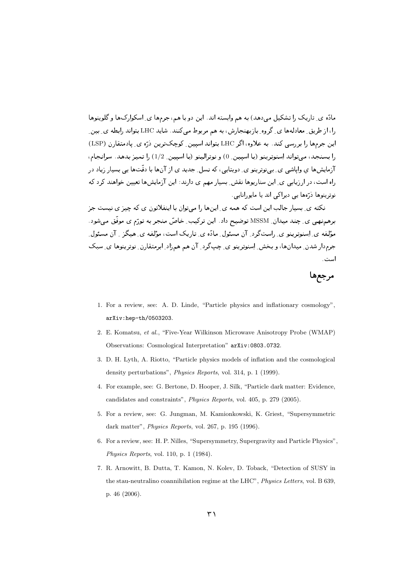--9 F#-)< " + ! % 9- , & .3%9 ! .% P - )
# ] # " - را، از طریق ِ معادلهها ی ِ گروه ِ بازبهنجارش، به هم مربوط میکنند. شاید LHC بتواند رابطه ی ِ بین ِ این جرمها را بررسی کند. به علاوه، اگر LHC بتواند اسپین ِ گوچکترین دُرّه ی ِ پادمتقارن (LSP) را بسنجد، میتواند اِسنوترینو (با اسپین ِ 0) و نوترالینو (با اسپین ِ 1/2) را تمیز بدهد. سرانجام، ر یا پ کی بی *دو دی. دی* یی اس در یا می کند و می باشد. در است د ر در بن جد بن صحب بن العامل العالمي العامل العامل العامل العامل العامل العامل العامل العامل العامل العامل العا د د د سي د په در سي

C+ 23 &"C1 .D " 0-(@ % 0- # , " .\$ .D 2< , I+ #3% " .)& برهمنهی ی ِ چند میدان ِ MSSM توضیح داد. این ترکیب ِ خاصؓ منجر به تورّم ی موفق میشود. ر المجدور والمحادث المردي المحافظة المحافظة المحافظة المحافظة المحافظة المحافظة المحافظة المحافظة المحافظة الم ]< " - -& 0 #% -7! ! 06 -z1 " - -< Qf% 9 0 <sup>0</sup> #-+ است.

## -

- 1. For a review, see: A. D. Linde, "Particle physics and inflationary cosmology", arXiv:hep-th/0503203.
- 2. E. Komatsu, *et al.*, "Five-Year Wilkinson Microwave Anisotropy Probe (WMAP) Observations: Cosmological Interpretation" arXiv:0803.0732.
- 3. D. H. Lyth, A. Riotto, "Particle physics models of inflation and the cosmological density perturbations", *Physics Reports*, vol. 314, p. 1 (1999).
- 4. For example, see: G. Bertone, D. Hooper, J. Silk, "Particle dark matter: Evidence, candidates and constraints", *Physics Reports*, vol. 405, p. 279 (2005).
- 5. For a review, see: G. Jungman, M. Kamionkowski, K. Griest, "Supersymmetric dark matter", *Physics Reports*, vol. 267, p. 195 (1996).
- 6. For a review, see: H. P. Nilles, "Supersymmetry, Supergravity and Particle Physics", *Physics Reports*, vol. 110, p. 1 (1984).
- 7. R. Arnowitt, B. Dutta, T. Kamon, N. Kolev, D. Toback, "Detection of SUSY in the stau-neutralino coannihilation regime at the LHC", *Physics Letters*, vol. B 639, p. 46 (2006).